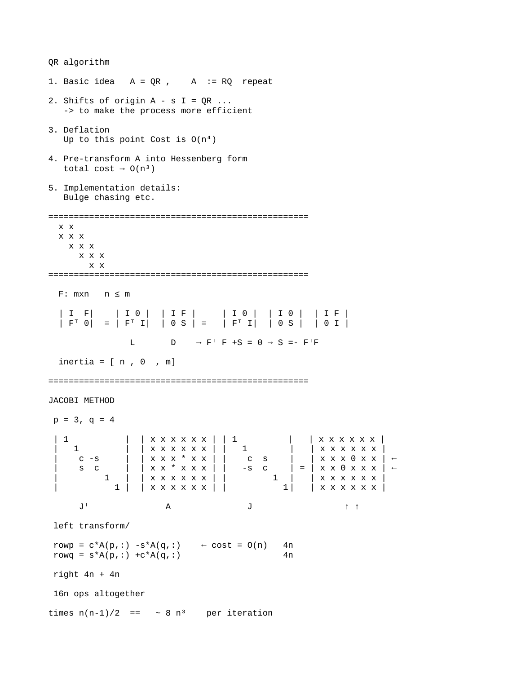QR algorithm

1. Basic idea  $A = QR$ ,  $A := RQ$  repeat 2. Shifts of origin  $A - S I = QR ...$  -> to make the process more efficient 3. Deflation Up to this point Cost is  $O(n^4)$ 4. Pre-transform A into Hessenberg form total cost  $\rightarrow$  0(n<sup>3</sup>) 5. Implementation details: Bulge chasing etc. =================================================== x x x x x x x x x x x x x =================================================== F: mxn n ≤ m | I F| | I 0 | | I F | | I 0 | | I 0 | | I F |  $|\begin{array}{cccc} \bar{F}^{\top} & 0 & = & \bar{F}^{\top} & \bar{I} \end{array}|$   $|\begin{array}{cccc} \bar{0} & S & = & \bar{I} & F^{\top} & \bar{I} \end{array}|$   $\begin{array}{cccc} \bar{F}^{\top} & 0 & S & \bar{I} \end{array}$ L  $D \rightarrow F^T F + S = 0 \rightarrow S = - F^T F$ inertia =  $[n, 0, m]$ =================================================== JACOBI METHOD  $p = 3$ ,  $q = 4$  | 1 | | x x x x x x | | 1 | | x x x x x x | | 1 | | x x x x x x | | 1 | | x x x x x x | | c -s | | x x x \* x x | | c s | | x x x 0 x x | ←  $S \quad C \qquad | \qquad | \times X \times X \times X \mid | \qquad -S \quad C$  | 1 | | x x x x x x | | 1 | | x x x x x x | | 1 | | x x x x x x | | 1 | | x x x x x x |  $J^T$  A  $J$   $\uparrow$   $\uparrow$   $\uparrow$  left transform/  $rowp = c*A(p,:) -s*A(q,:) \leftarrow cost = O(n)$  4n rowq =  $s*A(p,:) +c*A(q,:)$  4n right  $4n + 4n$  16n ops altogether times  $n(n-1)/2 == -8 n^3$  per iteration